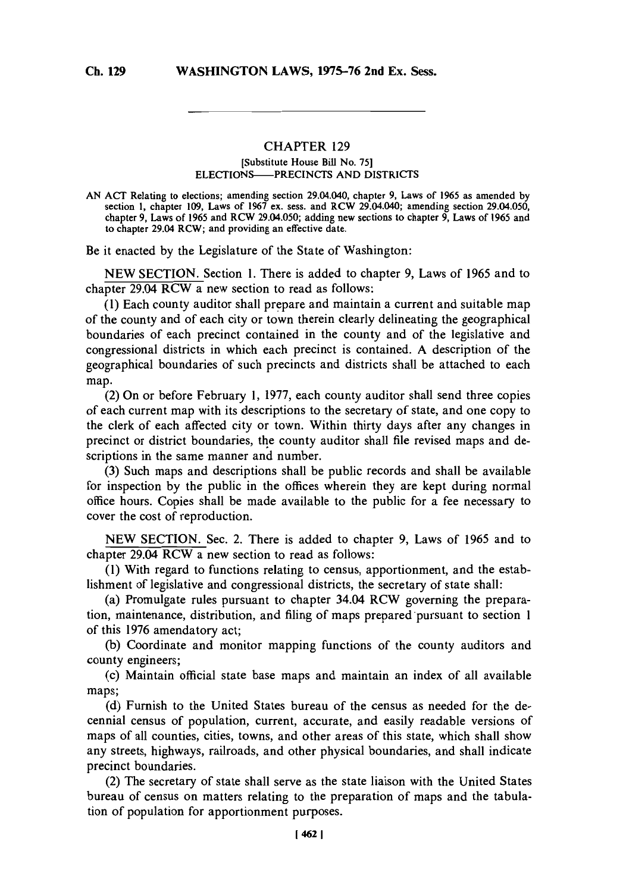## **CHAPTER 129**

## **[Substitute House Bill No. 75] ELECTIONS-PRECINCTS AND DISTRICTS**

**AN ACT Relating to elections; amending section 29.04.040, chapter 9, Laws of 1965 as amended by section 1, chapter 109, Laws of 1967 ex. sess. and RCW 29.04.040; amending section 29.04.050, chapter 9, Laws of 1965 and RCW 29.04.050; adding new sections to chapter 9, Laws of 1965 and to chapter 29.04 RCW; and providing an effective date.**

Be it enacted **by** the Legislature of the State of Washington:

**NEW SECTION.** Section **1.** There is added to chapter **9,** Laws of *1965* and to chapter 29.04 RCW a new section to read as follows:

**(1)** Each county auditor shall prepare and maintain a current and suitable map of the county and of each city or town therein clearly delineating the geographical boundaries of each precinct contained in the county and of the legislative and congressional districts in which each precinct is contained. **A** description of the geographical boundaries of such precincts and districts shall be attached to each map.

(2) On or before February **1, 1977,** each county auditor shall send three copies of each current map with its descriptions to the secretary of state, and one copy to the clerk of each affected city or town. Within thirty days after any changes in precinct or district boundaries, the county auditor shall file revised maps and descriptions in the same manner and number.

**(3)** Such maps and descriptions shall be public records and shall be available for inspection **by** the public in the offices wherein they are kept during normal office hours. Copies shall be made available to the public for a fee necessary to cover the cost of reproduction.

**NEW SECTION.** Sec. 2. There is added to chapter **9,** Laws of **1965** and to chapter 29.04 RCW a new section to read as follows:

**(1)** With regard to functions relating to census, apportionment, and the establishment of legislative and congressional districts, the secretary of state shall:

(a) Promulgate rules pursuant to chapter 34.04 RCW governing the preparation, maintenance, distribution, and filing of maps prepared pursuant to section 1 of this **1976** amendatory act;

**(b)** Coordinate and monitor mapping functions of the county auditors and county engineers;

(c) Maintain official state base maps and maintain an index of all available maps;

**(d)** Furnish to the United States bureau of the census as needed for the decennial census of population, current, accurate, and easily readable versions of maps of all counties, cities, towns, and other areas of this state, which shall show any streets, highways, railroads, and other physical boundaries, and shall indicate precinct boundaries.

(2) The secretary of state shall serve as the state liaison with the United States bureau of census on matters relating to the preparation of maps and the tabulation of population for apportionment purposes.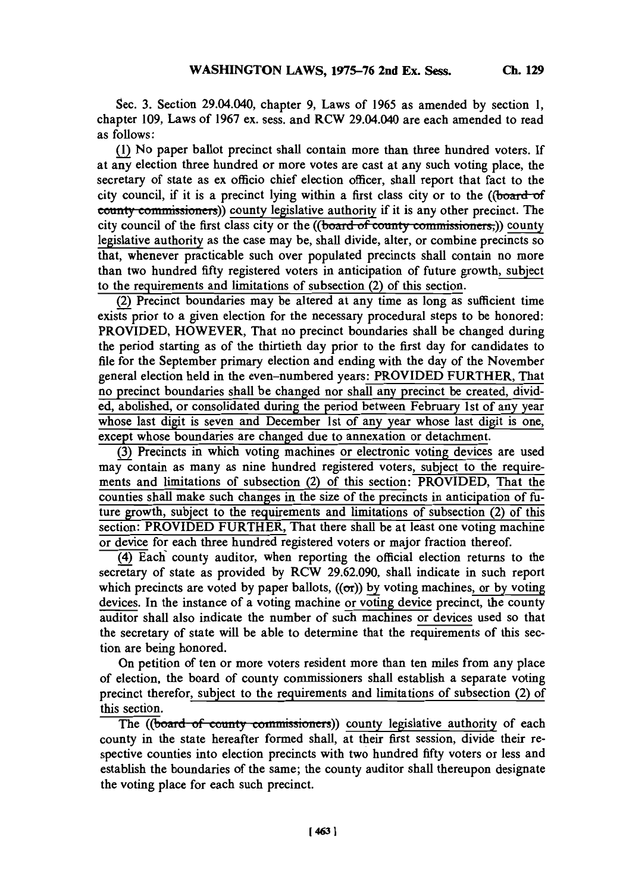Sec. **3.** Section 29.04.040, chapter **9,** Laws of **1965** as amended **by** section **1,** chapter **109,** Laws of **1967** ex. sess. and RCW 29.04.040 are each amended to read as follows:

**(1)** No paper ballot precinct shall contain more than three hundred voters. **If** at any election three hundred or more votes are cast at any such voting place, the secretary of state as ex officio chief election officer, shall report that fact to the city council, if it is a precinct lying within a first class city or to the ((board-of **county commissioners)** county legislative authority if it is any other precinct. The city council of the first class city or the **((board of county commissioners**;)) county legislative authority as the case may be, shall divide, alter, or combine precincts so that, whenever practicable such over populated precincts shall contain no more than two hundred fifty registered voters in anticipation of future growth, subject to the requirements and limitations of subsection (2) of this section.

(2) Precinct boundaries may be altered at any time as long as sufficient time exists prior to a given election for the necessary procedural steps to be honored: PROVIDED, HOWEVER, That no precinct boundaries shall be changed during the period starting as of the thirtieth day prior to the first day for candidates to file for the September primary election and ending with the day of the November general election held in the even-numbered years: PROVIDED FURTHER, That no precinct boundaries shall be changed nor shall any precinct be created, divided, abolished, or consolidated during the period between February 1st of any year whose last digit is seven and December 1st of any year whose last digit is one, except whose boundaries are changed due to annexation or detachment.

**(3)** Precincts in which voting machines or electronic voting devices are used may contain as many as nine hundred registered voters, subject to the requirements and limitations of subsection (2) of this section: PROVIDED, That the counties shall make such changes in the size of the precincts in anticipation of future growth, subject to the requirements and limitations of subsection (2) of this section: PROVIDED FURTHER, That there shall be at least one voting machine or device for each three hundred registered voters or major fraction thereof.

(4) Each county auditor, when reporting the official election returns to the secretary of state as provided **by** RCW **29.62.090,** shall indicate in such report which precincts are voted by paper ballots,  $((\sigma r))$  by voting machines, or by voting devices. In the instance of a voting machine or voting device precinct, the county auditor shall also indicate the number of such machines or devices used so that the secretary of state will be able to determine that the requirements of this section are being honored.

On petition of ten or more voters resident more than ten miles from any place of election, the board of county commissioners shall establish a separate voting precinct therefor, subject to the requirements and limitations of subsection (2) of this section.

The ((board of county commissioners)) county legislative authority of each county in the state hereafter formed shall, at their first session, divide their respective counties into election precincts with two hundred fifty voters or less and establish the boundaries of the same; the county auditor shall thereupon designate the voting place for each such precinct.